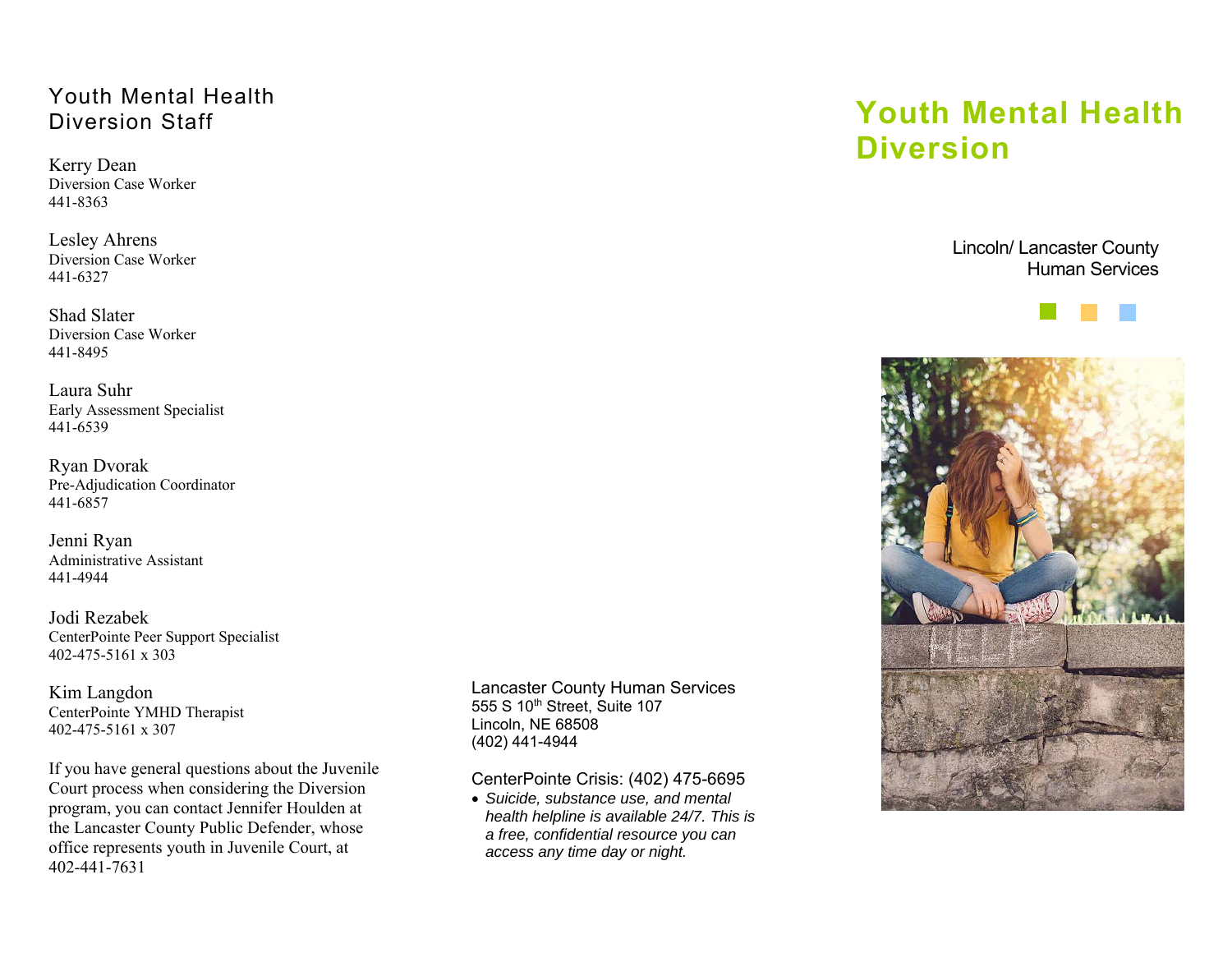## Youth Mental Health Diversion Staff

Kerry Dean Diversion Case Worker 441-8363

Lesley Ahrens Diversion Case Worker 441-6327

Shad Slater Diversion Case Worker 441-8495

Laura SuhrEarly Assessment Specialist 441-6539

Ryan Dvorak Pre-Adjudication Coordinator 441-6857

Jenni Ryan Administrative Assistant 441-4944

Jodi Rezabek CenterPointe Peer Support Specialist 402-475-5161 x 303

Kim Langdon CenterPointe YMHD Therapist 402-475-5161 x 307

If you have general questions about the Juvenile Court process when considering the Diversion program, you can contact Jennifer Houlden at the Lancaster County Public Defender, whose office represents youth in Juvenile Court, at 402-441-7631

Lancaster County Human Services 555 S 10th Street, Suite 107 Lincoln, NE 68508 (402) 441-4944

CenterPointe Crisis: (402) 475-6695

 *Suicide, substance use, and mental health helpline is available 24/7. This is a free, confidential resource you can access any time day or night.* 

## **Youth Mental Health Diversion**

Lincoln/ Lancaster County Human Services